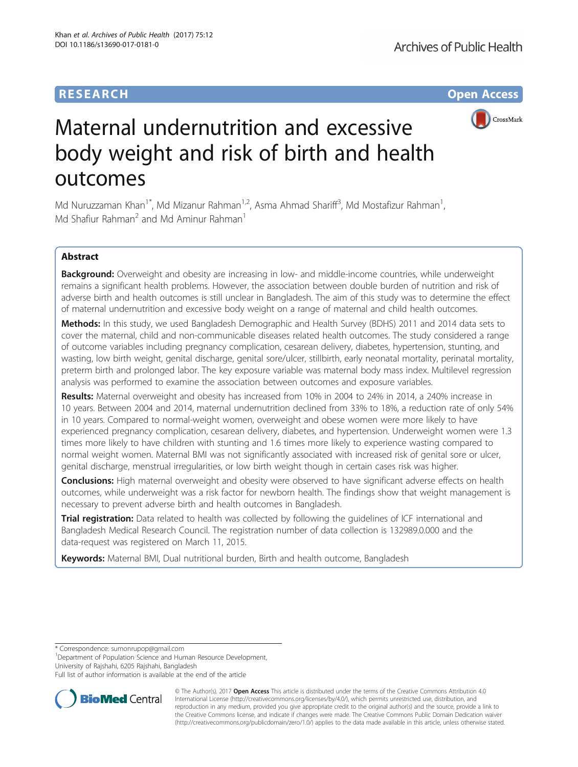## **RESEARCH CHE Open Access**



# Maternal undernutrition and excessive body weight and risk of birth and health outcomes

Md Nuruzzaman Khan<sup>1\*</sup>, Md Mizanur Rahman<sup>1,2</sup>, Asma Ahmad Shariff<sup>3</sup>, Md Mostafizur Rahman<sup>1</sup> , Md Shafiur Rahman<sup>2</sup> and Md Aminur Rahman<sup>1</sup>

## Abstract

Background: Overweight and obesity are increasing in low- and middle-income countries, while underweight remains a significant health problems. However, the association between double burden of nutrition and risk of adverse birth and health outcomes is still unclear in Bangladesh. The aim of this study was to determine the effect of maternal undernutrition and excessive body weight on a range of maternal and child health outcomes.

Methods: In this study, we used Bangladesh Demographic and Health Survey (BDHS) 2011 and 2014 data sets to cover the maternal, child and non-communicable diseases related health outcomes. The study considered a range of outcome variables including pregnancy complication, cesarean delivery, diabetes, hypertension, stunting, and wasting, low birth weight, genital discharge, genital sore/ulcer, stillbirth, early neonatal mortality, perinatal mortality, preterm birth and prolonged labor. The key exposure variable was maternal body mass index. Multilevel regression analysis was performed to examine the association between outcomes and exposure variables.

Results: Maternal overweight and obesity has increased from 10% in 2004 to 24% in 2014, a 240% increase in 10 years. Between 2004 and 2014, maternal undernutrition declined from 33% to 18%, a reduction rate of only 54% in 10 years. Compared to normal-weight women, overweight and obese women were more likely to have experienced pregnancy complication, cesarean delivery, diabetes, and hypertension. Underweight women were 1.3 times more likely to have children with stunting and 1.6 times more likely to experience wasting compared to normal weight women. Maternal BMI was not significantly associated with increased risk of genital sore or ulcer, genital discharge, menstrual irregularities, or low birth weight though in certain cases risk was higher.

**Conclusions:** High maternal overweight and obesity were observed to have significant adverse effects on health outcomes, while underweight was a risk factor for newborn health. The findings show that weight management is necessary to prevent adverse birth and health outcomes in Bangladesh.

Trial registration: Data related to health was collected by following the guidelines of ICF international and Bangladesh Medical Research Council. The registration number of data collection is 132989.0.000 and the data-request was registered on March 11, 2015.

Keywords: Maternal BMI, Dual nutritional burden, Birth and health outcome, Bangladesh

\* Correspondence: [sumonrupop@gmail.com](mailto:sumonrupop@gmail.com) <sup>1</sup>

<sup>1</sup>Department of Population Science and Human Resource Development, University of Rajshahi, 6205 Rajshahi, Bangladesh

Full list of author information is available at the end of the article



© The Author(s). 2017 **Open Access** This article is distributed under the terms of the Creative Commons Attribution 4.0 International License [\(http://creativecommons.org/licenses/by/4.0/](http://creativecommons.org/licenses/by/4.0/)), which permits unrestricted use, distribution, and reproduction in any medium, provided you give appropriate credit to the original author(s) and the source, provide a link to the Creative Commons license, and indicate if changes were made. The Creative Commons Public Domain Dedication waiver [\(http://creativecommons.org/publicdomain/zero/1.0/](http://creativecommons.org/publicdomain/zero/1.0/)) applies to the data made available in this article, unless otherwise stated.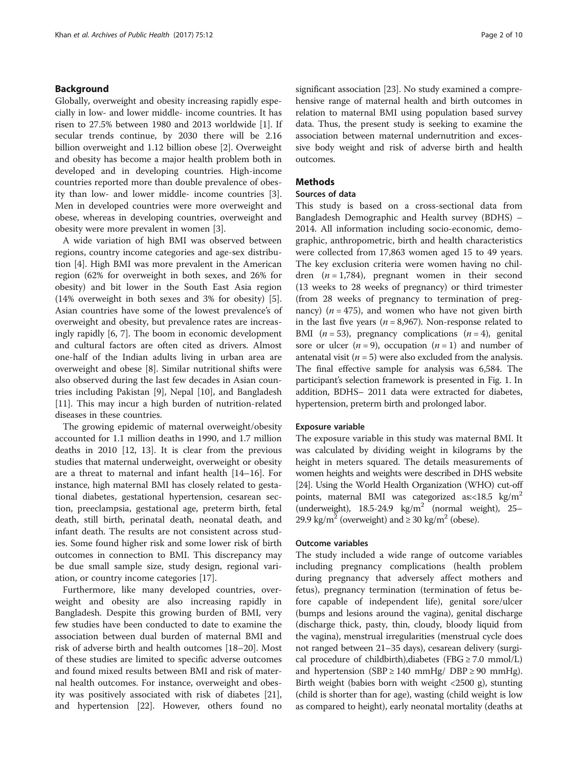## Background

Globally, overweight and obesity increasing rapidly especially in low- and lower middle- income countries. It has risen to 27.5% between 1980 and 2013 worldwide [[1\]](#page-8-0). If secular trends continue, by 2030 there will be 2.16 billion overweight and 1.12 billion obese [[2\]](#page-8-0). Overweight and obesity has become a major health problem both in developed and in developing countries. High-income countries reported more than double prevalence of obesity than low- and lower middle- income countries [\[3](#page-8-0)]. Men in developed countries were more overweight and obese, whereas in developing countries, overweight and obesity were more prevalent in women [[3](#page-8-0)].

A wide variation of high BMI was observed between regions, country income categories and age-sex distribution [[4](#page-8-0)]. High BMI was more prevalent in the American region (62% for overweight in both sexes, and 26% for obesity) and bit lower in the South East Asia region (14% overweight in both sexes and 3% for obesity) [\[5](#page-8-0)]. Asian countries have some of the lowest prevalence's of overweight and obesity, but prevalence rates are increasingly rapidly [[6, 7](#page-8-0)]. The boom in economic development and cultural factors are often cited as drivers. Almost one-half of the Indian adults living in urban area are overweight and obese [[8\]](#page-8-0). Similar nutritional shifts were also observed during the last few decades in Asian countries including Pakistan [\[9](#page-8-0)], Nepal [[10](#page-8-0)], and Bangladesh [[11\]](#page-8-0). This may incur a high burden of nutrition-related diseases in these countries.

The growing epidemic of maternal overweight/obesity accounted for 1.1 million deaths in 1990, and 1.7 million deaths in 2010 [[12, 13\]](#page-8-0). It is clear from the previous studies that maternal underweight, overweight or obesity are a threat to maternal and infant health [[14](#page-8-0)–[16](#page-9-0)]. For instance, high maternal BMI has closely related to gestational diabetes, gestational hypertension, cesarean section, preeclampsia, gestational age, preterm birth, fetal death, still birth, perinatal death, neonatal death, and infant death. The results are not consistent across studies. Some found higher risk and some lower risk of birth outcomes in connection to BMI. This discrepancy may be due small sample size, study design, regional variation, or country income categories [\[17](#page-9-0)].

Furthermore, like many developed countries, overweight and obesity are also increasing rapidly in Bangladesh. Despite this growing burden of BMI, very few studies have been conducted to date to examine the association between dual burden of maternal BMI and risk of adverse birth and health outcomes [\[18](#page-9-0)–[20\]](#page-9-0). Most of these studies are limited to specific adverse outcomes and found mixed results between BMI and risk of maternal health outcomes. For instance, overweight and obesity was positively associated with risk of diabetes [\[21](#page-9-0)], and hypertension [\[22](#page-9-0)]. However, others found no significant association [\[23\]](#page-9-0). No study examined a comprehensive range of maternal health and birth outcomes in relation to maternal BMI using population based survey data. Thus, the present study is seeking to examine the association between maternal undernutrition and excessive body weight and risk of adverse birth and health outcomes.

### **Methods**

## Sources of data

This study is based on a cross-sectional data from Bangladesh Demographic and Health survey (BDHS) – 2014. All information including socio-economic, demographic, anthropometric, birth and health characteristics were collected from 17,863 women aged 15 to 49 years. The key exclusion criteria were women having no children  $(n = 1.784)$ , pregnant women in their second (13 weeks to 28 weeks of pregnancy) or third trimester (from 28 weeks of pregnancy to termination of pregnancy) ( $n = 475$ ), and women who have not given birth in the last five years ( $n = 8,967$ ). Non-response related to BMI ( $n = 53$ ), pregnancy complications ( $n = 4$ ), genital sore or ulcer  $(n = 9)$ , occupation  $(n = 1)$  and number of antenatal visit ( $n = 5$ ) were also excluded from the analysis. The final effective sample for analysis was 6,584. The participant's selection framework is presented in Fig. [1.](#page-2-0) In addition, BDHS– 2011 data were extracted for diabetes, hypertension, preterm birth and prolonged labor.

#### Exposure variable

The exposure variable in this study was maternal BMI. It was calculated by dividing weight in kilograms by the height in meters squared. The details measurements of women heights and weights were described in DHS website [[24](#page-9-0)]. Using the World Health Organization (WHO) cut-off points, maternal BMI was categorized as: <18.5  $\text{kg/m}^2$ (underweight),  $18.5-24.9$  kg/m<sup>2</sup> (normal weight),  $25-$ 29.9 kg/m<sup>2</sup> (overweight) and  $\geq$  30 kg/m<sup>2</sup> (obese).

#### Outcome variables

The study included a wide range of outcome variables including pregnancy complications (health problem during pregnancy that adversely affect mothers and fetus), pregnancy termination (termination of fetus before capable of independent life), genital sore/ulcer (bumps and lesions around the vagina), genital discharge (discharge thick, pasty, thin, cloudy, bloody liquid from the vagina), menstrual irregularities (menstrual cycle does not ranged between 21–35 days), cesarean delivery (surgical procedure of childbirth), diabetes (FBG  $\geq$  7.0 mmol/L) and hypertension (SBP  $\geq$  140 mmHg/ DBP  $\geq$  90 mmHg). Birth weight (babies born with weight <2500 g), stunting (child is shorter than for age), wasting (child weight is low as compared to height), early neonatal mortality (deaths at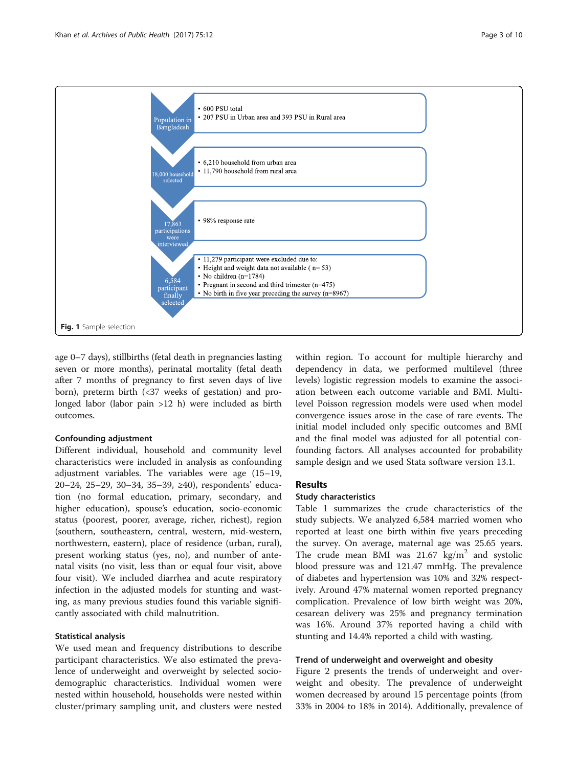<span id="page-2-0"></span>

age 0–7 days), stillbirths (fetal death in pregnancies lasting seven or more months), perinatal mortality (fetal death after 7 months of pregnancy to first seven days of live born), preterm birth (<37 weeks of gestation) and prolonged labor (labor pain >12 h) were included as birth outcomes.

#### Confounding adjustment

Different individual, household and community level characteristics were included in analysis as confounding adjustment variables. The variables were age (15–19, 20–24, 25–29, 30–34, 35–39, ≥40), respondents' education (no formal education, primary, secondary, and higher education), spouse's education, socio-economic status (poorest, poorer, average, richer, richest), region (southern, southeastern, central, western, mid-western, northwestern, eastern), place of residence (urban, rural), present working status (yes, no), and number of antenatal visits (no visit, less than or equal four visit, above four visit). We included diarrhea and acute respiratory infection in the adjusted models for stunting and wasting, as many previous studies found this variable significantly associated with child malnutrition.

#### Statistical analysis

We used mean and frequency distributions to describe participant characteristics. We also estimated the prevalence of underweight and overweight by selected sociodemographic characteristics. Individual women were nested within household, households were nested within cluster/primary sampling unit, and clusters were nested

within region. To account for multiple hierarchy and dependency in data, we performed multilevel (three levels) logistic regression models to examine the association between each outcome variable and BMI. Multilevel Poisson regression models were used when model convergence issues arose in the case of rare events. The initial model included only specific outcomes and BMI and the final model was adjusted for all potential confounding factors. All analyses accounted for probability sample design and we used Stata software version 13.1.

#### Results

#### Study characteristics

Table [1](#page-3-0) summarizes the crude characteristics of the study subjects. We analyzed 6,584 married women who reported at least one birth within five years preceding the survey. On average, maternal age was 25.65 years. The crude mean BMI was  $21.67 \text{ kg/m}^2$  and systolic blood pressure was and 121.47 mmHg. The prevalence of diabetes and hypertension was 10% and 32% respectively. Around 47% maternal women reported pregnancy complication. Prevalence of low birth weight was 20%, cesarean delivery was 25% and pregnancy termination was 16%. Around 37% reported having a child with stunting and 14.4% reported a child with wasting.

## Trend of underweight and overweight and obesity

Figure [2](#page-3-0) presents the trends of underweight and overweight and obesity. The prevalence of underweight women decreased by around 15 percentage points (from 33% in 2004 to 18% in 2014). Additionally, prevalence of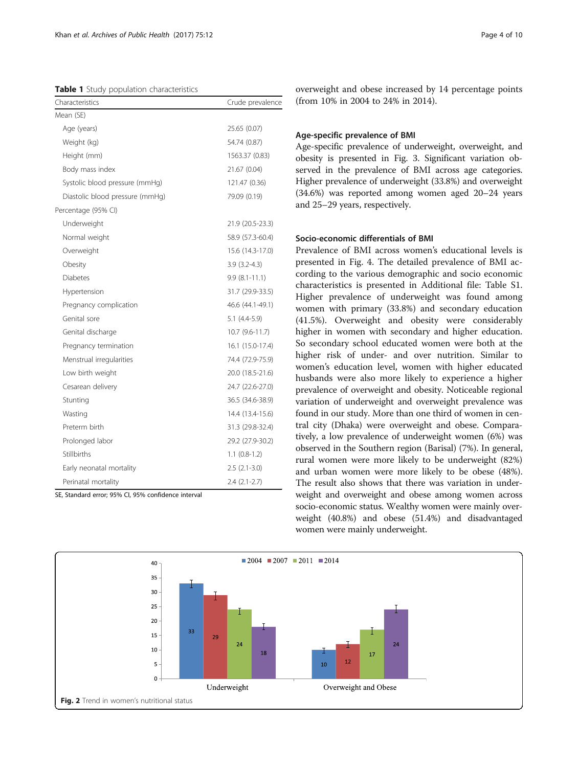<span id="page-3-0"></span>Table 1 Study population characteristics

| Characteristics                 | Crude prevalence  |
|---------------------------------|-------------------|
| Mean (SE)                       |                   |
| Age (years)                     | 25.65 (0.07)      |
| Weight (kg)                     | 54.74 (0.87)      |
| Height (mm)                     | 1563.37 (0.83)    |
| Body mass index                 | 21.67 (0.04)      |
| Systolic blood pressure (mmHg)  | 121.47 (0.36)     |
| Diastolic blood pressure (mmHg) | 79.09 (0.19)      |
| Percentage (95% CI)             |                   |
| Underweight                     | 21.9 (20.5-23.3)  |
| Normal weight                   | 58.9 (57.3-60.4)  |
| Overweight                      | 15.6 (14.3-17.0)  |
| Obesity                         | $3.9(3.2 - 4.3)$  |
| <b>Diabetes</b>                 | $9.9(8.1 - 11.1)$ |
| Hypertension                    | 31.7 (29.9-33.5)  |
| Pregnancy complication          | 46.6 (44.1-49.1)  |
| Genital sore                    | $5.1(4.4-5.9)$    |
| Genital discharge               | $10.7(9.6-11.7)$  |
| Pregnancy termination           | 16.1 (15.0-17.4)  |
| Menstrual irregularities        | 74.4 (72.9-75.9)  |
| Low birth weight                | 20.0 (18.5-21.6)  |
| Cesarean delivery               | 24.7 (22.6-27.0)  |
| Stunting                        | 36.5 (34.6-38.9)  |
| Wasting                         | 14.4 (13.4-15.6)  |
| Preterm birth                   | 31.3 (29.8-32.4)  |
| Prolonged labor                 | 29.2 (27.9-30.2)  |
| Stillbirths                     | $1.1$ (0.8-1.2)   |
| Early neonatal mortality        | $2.5(2.1-3.0)$    |
| Perinatal mortality             | $2.4(2.1-2.7)$    |

SE, Standard error; 95% CI, 95% confidence interval

overweight and obese increased by 14 percentage points (from 10% in 2004 to 24% in 2014).

#### Age-specific prevalence of BMI

Age-specific prevalence of underweight, overweight, and obesity is presented in Fig. [3](#page-4-0). Significant variation observed in the prevalence of BMI across age categories. Higher prevalence of underweight (33.8%) and overweight (34.6%) was reported among women aged 20–24 years and 25–29 years, respectively.

## Socio-economic differentials of BMI

Prevalence of BMI across women's educational levels is presented in Fig. [4](#page-4-0). The detailed prevalence of BMI according to the various demographic and socio economic characteristics is presented in Additional file: Table S1. Higher prevalence of underweight was found among women with primary (33.8%) and secondary education (41.5%). Overweight and obesity were considerably higher in women with secondary and higher education. So secondary school educated women were both at the higher risk of under- and over nutrition. Similar to women's education level, women with higher educated husbands were also more likely to experience a higher prevalence of overweight and obesity. Noticeable regional variation of underweight and overweight prevalence was found in our study. More than one third of women in central city (Dhaka) were overweight and obese. Comparatively, a low prevalence of underweight women (6%) was observed in the Southern region (Barisal) (7%). In general, rural women were more likely to be underweight (82%) and urban women were more likely to be obese (48%). The result also shows that there was variation in underweight and overweight and obese among women across socio-economic status. Wealthy women were mainly overweight (40.8%) and obese (51.4%) and disadvantaged women were mainly underweight.

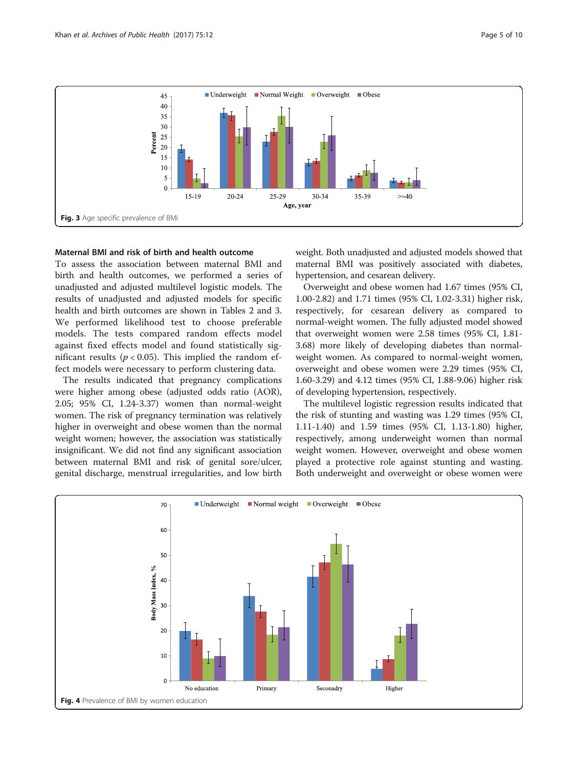<span id="page-4-0"></span>

#### Maternal BMI and risk of birth and health outcome

To assess the association between maternal BMI and birth and health outcomes, we performed a series of unadjusted and adjusted multilevel logistic models. The results of unadjusted and adjusted models for specific health and birth outcomes are shown in Tables [2](#page-5-0) and [3](#page-6-0). We performed likelihood test to choose preferable models. The tests compared random effects model against fixed effects model and found statistically significant results ( $p < 0.05$ ). This implied the random effect models were necessary to perform clustering data.

The results indicated that pregnancy complications were higher among obese (adjusted odds ratio (AOR), 2.05; 95% CI, 1.24-3.37) women than normal-weight women. The risk of pregnancy termination was relatively higher in overweight and obese women than the normal weight women; however, the association was statistically insignificant. We did not find any significant association between maternal BMI and risk of genital sore/ulcer, genital discharge, menstrual irregularities, and low birth weight. Both unadjusted and adjusted models showed that maternal BMI was positively associated with diabetes, hypertension, and cesarean delivery.

Overweight and obese women had 1.67 times (95% CI, 1.00-2.82) and 1.71 times (95% CI, 1.02-3.31) higher risk, respectively, for cesarean delivery as compared to normal-weight women. The fully adjusted model showed that overweight women were 2.58 times (95% CI, 1.81- 3.68) more likely of developing diabetes than normalweight women. As compared to normal-weight women, overweight and obese women were 2.29 times (95% CI, 1.60-3.29) and 4.12 times (95% CI, 1.88-9.06) higher risk of developing hypertension, respectively.

The multilevel logistic regression results indicated that the risk of stunting and wasting was 1.29 times (95% CI, 1.11-1.40) and 1.59 times (95% CI, 1.13-1.80) higher, respectively, among underweight women than normal weight women. However, overweight and obese women played a protective role against stunting and wasting. Both underweight and overweight or obese women were

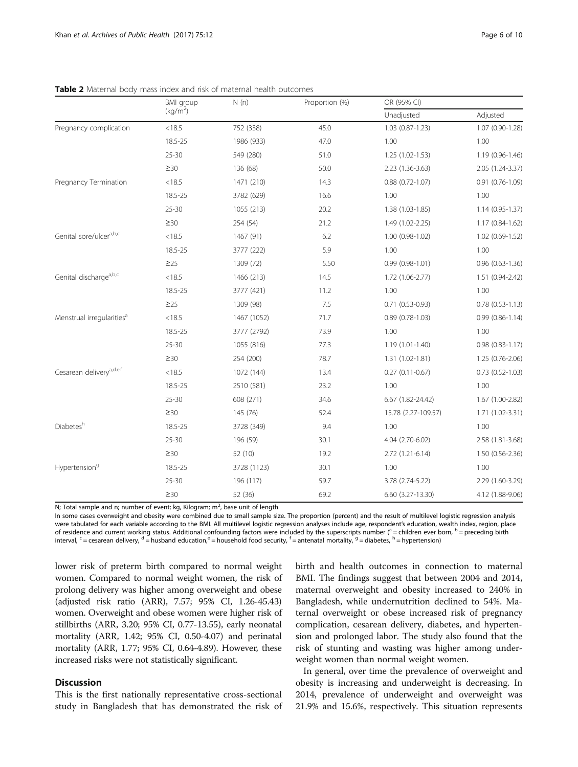|                                       | <b>BMI</b> group     | N(n)        | Proportion (%) | OR (95% CI)         |                        |
|---------------------------------------|----------------------|-------------|----------------|---------------------|------------------------|
|                                       | (kq/m <sup>2</sup> ) |             |                | Unadjusted          | Adjusted               |
| Pregnancy complication                | < 18.5               | 752 (338)   | 45.0           | $1.03(0.87-1.23)$   | 1.07 (0.90-1.28)       |
|                                       | 18.5-25              | 1986 (933)  | 47.0           | 1.00                | 1.00                   |
|                                       | $25 - 30$            | 549 (280)   | 51.0           | $1.25(1.02-1.53)$   | 1.19 (0.96-1.46)       |
|                                       | $\geq$ 30            | 136 (68)    | 50.0           | 2.23 (1.36-3.63)    | 2.05 (1.24-3.37)       |
| Pregnancy Termination                 | < 18.5               | 1471 (210)  | 14.3           | $0.88(0.72 - 1.07)$ | $0.91(0.76-1.09)$      |
|                                       | 18.5-25              | 3782 (629)  | 16.6           | 1.00                | 1.00                   |
|                                       | $25 - 30$            | 1055 (213)  | 20.2           | 1.38 (1.03-1.85)    | $1.14(0.95 - 1.37)$    |
|                                       | $\geq 30$            | 254 (54)    | 21.2           | 1.49 (1.02-2.25)    | $1.17(0.84-1.62)$      |
| Genital sore/ulcera,b,c               | < 18.5               | 1467 (91)   | 6.2            | 1.00 (0.98-1.02)    | 1.02 (0.69-1.52)       |
|                                       | 18.5-25              | 3777 (222)  | 5.9            | 1.00                | 1.00                   |
|                                       | $\geq$ 25            | 1309 (72)   | 5.50           | $0.99(0.98-1.01)$   | $0.96$ (0.63-1.36)     |
| Genital dischargea,b,c                | < 18.5               | 1466 (213)  | 14.5           | 1.72 (1.06-2.77)    | 1.51 (0.94-2.42)       |
|                                       | 18.5-25              | 3777 (421)  | 11.2           | 1.00                | 1.00                   |
|                                       | $\geq$ 25            | 1309 (98)   | 7.5            | $0.71(0.53-0.93)$   | $0.78$ $(0.53-1.13)$   |
| Menstrual irregularities <sup>a</sup> | < 18.5               | 1467 (1052) | 71.7           | $0.89(0.78-1.03)$   | $0.99(0.86 - 1.14)$    |
|                                       | 18.5-25              | 3777 (2792) | 73.9           | 1.00                | 1.00                   |
|                                       | $25 - 30$            | 1055 (816)  | 77.3           | $1.19(1.01 - 1.40)$ | $0.98$ $(0.83 - 1.17)$ |
|                                       | $\geq 30$            | 254 (200)   | 78.7           | $1.31(1.02 - 1.81)$ | 1.25 (0.76-2.06)       |
| Cesarean delivery <sup>a,d.e.f</sup>  | < 18.5               | 1072 (144)  | 13.4           | $0.27(0.11-0.67)$   | $0.73$ $(0.52 - 1.03)$ |
|                                       | 18.5-25              | 2510 (581)  | 23.2           | 1.00                | 1.00                   |
|                                       | $25 - 30$            | 608 (271)   | 34.6           | 6.67 (1.82-24.42)   | 1.67 (1.00-2.82)       |
|                                       | $\geq 30$            | 145 (76)    | 52.4           | 15.78 (2.27-109.57) | 1.71 (1.02-3.31)       |
| Diabetesh                             | 18.5-25              | 3728 (349)  | 9.4            | 1.00                | 1.00                   |
|                                       | $25 - 30$            | 196 (59)    | 30.1           | 4.04 (2.70-6.02)    | 2.58 (1.81-3.68)       |
|                                       | $\geq 30$            | 52 (10)     | 19.2           | $2.72(1.21-6.14)$   | 1.50 (0.56-2.36)       |
| Hypertension <sup>9</sup>             | 18.5-25              | 3728 (1123) | 30.1           | 1.00                | 1.00                   |
|                                       | $25 - 30$            | 196 (117)   | 59.7           | 3.78 (2.74-5.22)    | 2.29 (1.60-3.29)       |
|                                       | $\geq 30$            | 52 (36)     | 69.2           | 6.60 (3.27-13.30)   | 4.12 (1.88-9.06)       |

<span id="page-5-0"></span>Table 2 Maternal body mass index and risk of maternal health outcomes

N; Total sample and n; number of event; kg, Kilogram;  $m^2$ , base unit of length

In some cases overweight and obesity were combined due to small sample size. The proportion (percent) and the result of multilevel logistic regression analysis were tabulated for each variable according to the BMI. All multilevel logistic regression analyses include age, respondent's education, wealth index, region, place of residence and current working status. Additional confounding factors were included by the superscripts number  $\binom{a}{n}$  = children ever born,  $\binom{b}{n}$  = preceding birth interval, <sup>c</sup> = cesarean delivery, <sup>d</sup> = husband education,<sup>e</sup> = household food security, <sup>f</sup> = antenatal mortality, <sup>g</sup> = diabetes, <sup>h</sup> = hypertension)

lower risk of preterm birth compared to normal weight women. Compared to normal weight women, the risk of prolong delivery was higher among overweight and obese (adjusted risk ratio (ARR), 7.57; 95% CI, 1.26-45.43) women. Overweight and obese women were higher risk of stillbirths (ARR, 3.20; 95% CI, 0.77-13.55), early neonatal mortality (ARR, 1.42; 95% CI, 0.50-4.07) and perinatal mortality (ARR, 1.77; 95% CI, 0.64-4.89). However, these increased risks were not statistically significant.

## Discussion

This is the first nationally representative cross-sectional study in Bangladesh that has demonstrated the risk of birth and health outcomes in connection to maternal BMI. The findings suggest that between 2004 and 2014, maternal overweight and obesity increased to 240% in Bangladesh, while undernutrition declined to 54%. Maternal overweight or obese increased risk of pregnancy complication, cesarean delivery, diabetes, and hypertension and prolonged labor. The study also found that the risk of stunting and wasting was higher among underweight women than normal weight women.

In general, over time the prevalence of overweight and obesity is increasing and underweight is decreasing. In 2014, prevalence of underweight and overweight was 21.9% and 15.6%, respectively. This situation represents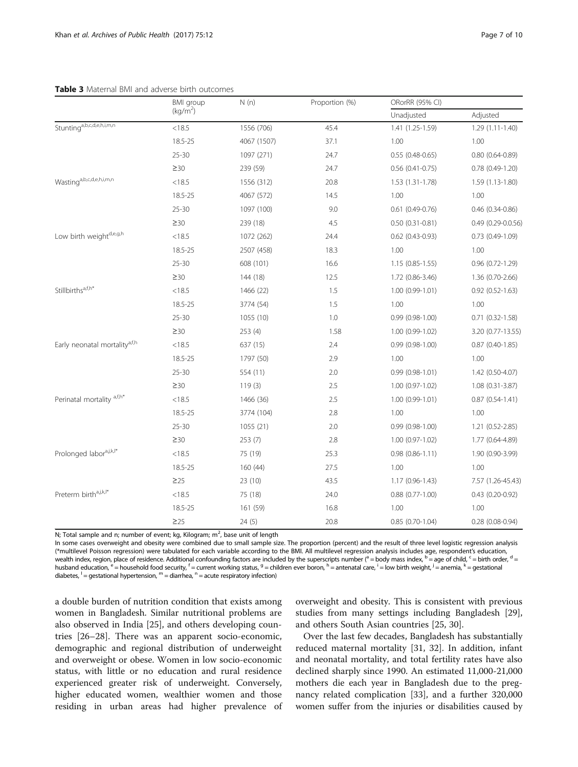#### <span id="page-6-0"></span>Table 3 Maternal BMI and adverse birth outcomes

|                                           | <b>BMI</b> group<br>(kg/m <sup>2</sup> ) | N(n)        | Proportion (%) | ORorRR (95% CI)        |                        |
|-------------------------------------------|------------------------------------------|-------------|----------------|------------------------|------------------------|
|                                           |                                          |             |                | Unadjusted             | Adjusted               |
| Stunting <sup>a,b,c,d,e,h,i,m,n</sup>     | < 18.5                                   | 1556 (706)  | 45.4           | 1.41 (1.25-1.59)       | $1.29(1.11-1.40)$      |
|                                           | 18.5-25                                  | 4067 (1507) | 37.1           | 1.00                   | 1.00                   |
|                                           | $25 - 30$                                | 1097 (271)  | 24.7           | $0.55(0.48-0.65)$      | $0.80(0.64 - 0.89)$    |
|                                           | $\geq$ 30                                | 239 (59)    | 24.7           | $0.56(0.41-0.75)$      | $0.78$ $(0.49-1.20)$   |
| Wastinga,b,c,d,e,h,i,m,n                  | < 18.5                                   | 1556 (312)  | 20.8           | $1.53(1.31-1.78)$      | 1.59 (1.13-1.80)       |
|                                           | 18.5-25                                  | 4067 (572)  | 14.5           | 1.00                   | 1.00                   |
|                                           | $25 - 30$                                | 1097 (100)  | 9.0            | $0.61$ $(0.49 - 0.76)$ | $0.46$ $(0.34 - 0.86)$ |
|                                           | $\geq$ 30                                | 239 (18)    | 4.5            | $0.50(0.31 - 0.81)$    | $0.49(0.29 - 0.0.56)$  |
| Low birth weight <sup>d,e,g,h</sup>       | < 18.5                                   | 1072 (262)  | 24.4           | $0.62$ (0.43-0.93)     | $0.73$ $(0.49-1.09)$   |
|                                           | 18.5-25                                  | 2507 (458)  | 18.3           | 1.00                   | 1.00                   |
|                                           | $25 - 30$                                | 608 (101)   | 16.6           | $1.15(0.85 - 1.55)$    | $0.96$ $(0.72 - 1.29)$ |
|                                           | $\geq 30$                                | 144 (18)    | 12.5           | 1.72 (0.86-3.46)       | 1.36 (0.70-2.66)       |
| Stillbirths <sup>a,f,h*</sup>             | < 18.5                                   | 1466 (22)   | 1.5            | 1.00 (0.99-1.01)       | $0.92$ $(0.52 - 1.63)$ |
|                                           | 18.5-25                                  | 3774 (54)   | 1.5            | 1.00                   | 1.00                   |
|                                           | $25 - 30$                                | 1055 (10)   | 1.0            | $0.99(0.98-1.00)$      | $0.71$ $(0.32 - 1.58)$ |
|                                           | $\geq$ 30                                | 253(4)      | 1.58           | 1.00 (0.99-1.02)       | 3.20 (0.77-13.55)      |
| Early neonatal mortality <sup>a,f,h</sup> | < 18.5                                   | 637 (15)    | 2.4            | $0.99(0.98-1.00)$      | $0.87$ (0.40-1.85)     |
|                                           | 18.5-25                                  | 1797 (50)   | 2.9            | 1.00                   | 1.00                   |
|                                           | $25 - 30$                                | 554 (11)    | 2.0            | $0.99(0.98-1.01)$      | 1.42 (0.50-4.07)       |
|                                           | $\geq$ 30                                | 119(3)      | 2.5            | 1.00 (0.97-1.02)       | $1.08(0.31 - 3.87)$    |
| Perinatal mortality a,f,h*                | < 18.5                                   | 1466 (36)   | 2.5            | $1.00(0.99-1.01)$      | $0.87(0.54-1.41)$      |
|                                           | 18.5-25                                  | 3774 (104)  | 2.8            | 1.00                   | 1.00                   |
|                                           | $25 - 30$                                | 1055 (21)   | 2.0            | $0.99(0.98-1.00)$      | 1.21 (0.52-2.85)       |
|                                           | $\geq 30$                                | 253(7)      | 2.8            | 1.00 (0.97-1.02)       | 1.77 (0.64-4.89)       |
| Prolonged labora,j,k,l*                   | < 18.5                                   | 75 (19)     | 25.3           | $0.98(0.86 - 1.11)$    | 1.90 (0.90-3.99)       |
|                                           | 18.5-25                                  | 160 (44)    | 27.5           | 1.00                   | 1.00                   |
|                                           | $\geq$ 25                                | 23(10)      | 43.5           | $1.17(0.96 - 1.43)$    | 7.57 (1.26-45.43)      |
| Preterm birth <sup>a,j,k,l*</sup>         | < 18.5                                   | 75 (18)     | 24.0           | $0.88$ $(0.77 - 1.00)$ | $0.43$ (0.20-0.92)     |
|                                           | 18.5-25                                  | 161 (59)    | 16.8           | 1.00                   | 1.00                   |
|                                           | $\geq$ 25                                | 24(5)       | 20.8           | $0.85(0.70-1.04)$      | $0.28(0.08-0.94)$      |

N; Total sample and n; number of event; kg, Kilogram;  $m^2$ , base unit of length

In some cases overweight and obesity were combined due to small sample size. The proportion (percent) and the result of three level logistic regression analysis (\*multilevel Poisson regression) were tabulated for each variable according to the BMI. All multilevel regression analysis includes age, respondent's education, wealth index, region, place of residence. Additional confounding factors are included by the superscripts number ( $a = body$  mass index,  $b = age$  of child,  $c = birth$  order,  $d =$ husband education,  $\text{e}$  = household food security,  $\text{f}$  = current working status,  $\text{9}$  = children ever boron, <sup>h</sup> = antenatal care, <sup>i</sup> = low birth weight, <sup>j</sup> = anemia, <sup>k</sup> = gestational diabetes,  $l =$  gestational hypertension,  $m =$  diarrhea,  $n =$  acute respiratory infection)

a double burden of nutrition condition that exists among women in Bangladesh. Similar nutritional problems are also observed in India [[25\]](#page-9-0), and others developing countries [[26](#page-9-0)–[28](#page-9-0)]. There was an apparent socio-economic, demographic and regional distribution of underweight and overweight or obese. Women in low socio-economic status, with little or no education and rural residence experienced greater risk of underweight. Conversely, higher educated women, wealthier women and those residing in urban areas had higher prevalence of

overweight and obesity. This is consistent with previous studies from many settings including Bangladesh [\[29](#page-9-0)], and others South Asian countries [\[25, 30\]](#page-9-0).

Over the last few decades, Bangladesh has substantially reduced maternal mortality [\[31](#page-9-0), [32](#page-9-0)]. In addition, infant and neonatal mortality, and total fertility rates have also declined sharply since 1990. An estimated 11,000-21,000 mothers die each year in Bangladesh due to the pregnancy related complication [\[33\]](#page-9-0), and a further 320,000 women suffer from the injuries or disabilities caused by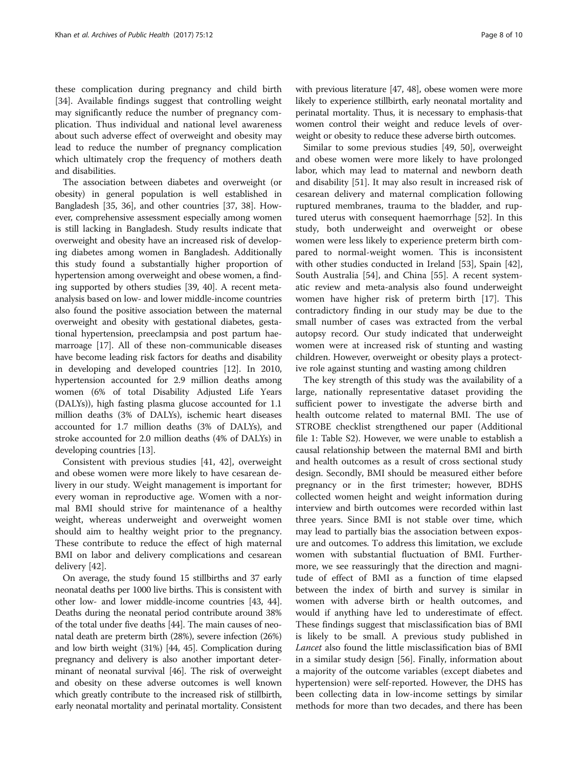these complication during pregnancy and child birth [[34\]](#page-9-0). Available findings suggest that controlling weight may significantly reduce the number of pregnancy complication. Thus individual and national level awareness about such adverse effect of overweight and obesity may lead to reduce the number of pregnancy complication which ultimately crop the frequency of mothers death and disabilities.

The association between diabetes and overweight (or obesity) in general population is well established in Bangladesh [\[35, 36\]](#page-9-0), and other countries [[37](#page-9-0), [38](#page-9-0)]. However, comprehensive assessment especially among women is still lacking in Bangladesh. Study results indicate that overweight and obesity have an increased risk of developing diabetes among women in Bangladesh. Additionally this study found a substantially higher proportion of hypertension among overweight and obese women, a finding supported by others studies [\[39](#page-9-0), [40\]](#page-9-0). A recent metaanalysis based on low- and lower middle-income countries also found the positive association between the maternal overweight and obesity with gestational diabetes, gestational hypertension, preeclampsia and post partum haemarroage [\[17\]](#page-9-0). All of these non-communicable diseases have become leading risk factors for deaths and disability in developing and developed countries [[12](#page-8-0)]. In 2010, hypertension accounted for 2.9 million deaths among women (6% of total Disability Adjusted Life Years (DALYs)), high fasting plasma glucose accounted for 1.1 million deaths (3% of DALYs), ischemic heart diseases accounted for 1.7 million deaths (3% of DALYs), and stroke accounted for 2.0 million deaths (4% of DALYs) in developing countries [\[13\]](#page-8-0).

Consistent with previous studies [[41, 42](#page-9-0)], overweight and obese women were more likely to have cesarean delivery in our study. Weight management is important for every woman in reproductive age. Women with a normal BMI should strive for maintenance of a healthy weight, whereas underweight and overweight women should aim to healthy weight prior to the pregnancy. These contribute to reduce the effect of high maternal BMI on labor and delivery complications and cesarean delivery [[42](#page-9-0)].

On average, the study found 15 stillbirths and 37 early neonatal deaths per 1000 live births. This is consistent with other low- and lower middle-income countries [[43](#page-9-0), [44](#page-9-0)]. Deaths during the neonatal period contribute around 38% of the total under five deaths [\[44](#page-9-0)]. The main causes of neonatal death are preterm birth (28%), severe infection (26%) and low birth weight (31%) [\[44](#page-9-0), [45\]](#page-9-0). Complication during pregnancy and delivery is also another important determinant of neonatal survival [\[46\]](#page-9-0). The risk of overweight and obesity on these adverse outcomes is well known which greatly contribute to the increased risk of stillbirth, early neonatal mortality and perinatal mortality. Consistent

with previous literature [[47](#page-9-0), [48\]](#page-9-0), obese women were more likely to experience stillbirth, early neonatal mortality and perinatal mortality. Thus, it is necessary to emphasis-that women control their weight and reduce levels of overweight or obesity to reduce these adverse birth outcomes.

Similar to some previous studies [\[49](#page-9-0), [50](#page-9-0)], overweight and obese women were more likely to have prolonged labor, which may lead to maternal and newborn death and disability [[51\]](#page-9-0). It may also result in increased risk of cesarean delivery and maternal complication following ruptured membranes, trauma to the bladder, and ruptured uterus with consequent haemorrhage [\[52](#page-9-0)]. In this study, both underweight and overweight or obese women were less likely to experience preterm birth compared to normal-weight women. This is inconsistent with other studies conducted in Ireland [[53\]](#page-9-0), Spain [\[42](#page-9-0)], South Australia [[54\]](#page-9-0), and China [\[55\]](#page-9-0). A recent systematic review and meta-analysis also found underweight women have higher risk of preterm birth [\[17](#page-9-0)]. This contradictory finding in our study may be due to the small number of cases was extracted from the verbal autopsy record. Our study indicated that underweight women were at increased risk of stunting and wasting children. However, overweight or obesity plays a protective role against stunting and wasting among children

The key strength of this study was the availability of a large, nationally representative dataset providing the sufficient power to investigate the adverse birth and health outcome related to maternal BMI. The use of STROBE checklist strengthened our paper (Additional file [1](#page-8-0): Table S2). However, we were unable to establish a causal relationship between the maternal BMI and birth and health outcomes as a result of cross sectional study design. Secondly, BMI should be measured either before pregnancy or in the first trimester; however, BDHS collected women height and weight information during interview and birth outcomes were recorded within last three years. Since BMI is not stable over time, which may lead to partially bias the association between exposure and outcomes. To address this limitation, we exclude women with substantial fluctuation of BMI. Furthermore, we see reassuringly that the direction and magnitude of effect of BMI as a function of time elapsed between the index of birth and survey is similar in women with adverse birth or health outcomes, and would if anything have led to underestimate of effect. These findings suggest that misclassification bias of BMI is likely to be small. A previous study published in Lancet also found the little misclassification bias of BMI in a similar study design [[56\]](#page-9-0). Finally, information about a majority of the outcome variables (except diabetes and hypertension) were self-reported. However, the DHS has been collecting data in low-income settings by similar methods for more than two decades, and there has been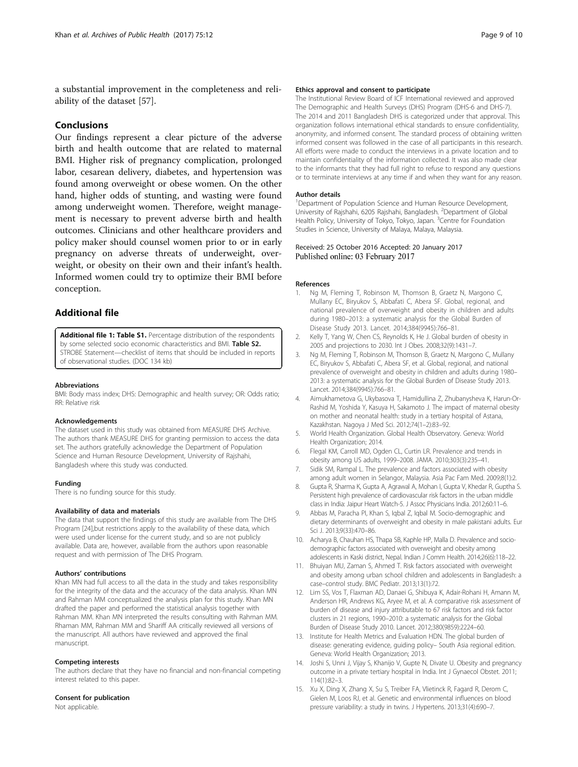<span id="page-8-0"></span>a substantial improvement in the completeness and reliability of the dataset [[57\]](#page-9-0).

## Conclusions

Our findings represent a clear picture of the adverse birth and health outcome that are related to maternal BMI. Higher risk of pregnancy complication, prolonged labor, cesarean delivery, diabetes, and hypertension was found among overweight or obese women. On the other hand, higher odds of stunting, and wasting were found among underweight women. Therefore, weight management is necessary to prevent adverse birth and health outcomes. Clinicians and other healthcare providers and policy maker should counsel women prior to or in early pregnancy on adverse threats of underweight, overweight, or obesity on their own and their infant's health. Informed women could try to optimize their BMI before conception.

## Additional file

[Additional file 1: Table S1.](dx.doi.org/10.1186/s13690-017-0181-0) Percentage distribution of the respondents by some selected socio economic characteristics and BMI. Table S2. STROBE Statement—checklist of items that should be included in reports of observational studies. (DOC 134 kb)

#### Abbreviations

BMI: Body mass index; DHS: Demographic and health survey; OR: Odds ratio; RR: Relative risk

#### Acknowledgements

The dataset used in this study was obtained from MEASURE DHS Archive. The authors thank MEASURE DHS for granting permission to access the data set. The authors gratefully acknowledge the Department of Population Science and Human Resource Development, University of Rajshahi, Bangladesh where this study was conducted.

#### Funding

There is no funding source for this study.

#### Availability of data and materials

The data that support the findings of this study are available from The DHS Program [[24\]](#page-9-0),but restrictions apply to the availability of these data, which were used under license for the current study, and so are not publicly available. Data are, however, available from the authors upon reasonable request and with permission of The DHS Program.

#### Authors' contributions

Khan MN had full access to all the data in the study and takes responsibility for the integrity of the data and the accuracy of the data analysis. Khan MN and Rahman MM conceptualized the analysis plan for this study. Khan MN drafted the paper and performed the statistical analysis together with Rahman MM. Khan MN interpreted the results consulting with Rahman MM. Rhaman MM, Rahman MM and Shariff AA critically reviewed all versions of the manuscript. All authors have reviewed and approved the final manuscript.

#### Competing interests

The authors declare that they have no financial and non-financial competing interest related to this paper.

#### Consent for publication

Not applicable.

#### Ethics approval and consent to participate

The Institutional Review Board of ICF International reviewed and approved The Demographic and Health Surveys (DHS) Program (DHS-6 and DHS-7). The 2014 and 2011 Bangladesh DHS is categorized under that approval. This organization follows international ethical standards to ensure confidentiality, anonymity, and informed consent. The standard process of obtaining written informed consent was followed in the case of all participants in this research. All efforts were made to conduct the interviews in a private location and to maintain confidentiality of the information collected. It was also made clear to the informants that they had full right to refuse to respond any questions or to terminate interviews at any time if and when they want for any reason.

#### Author details

<sup>1</sup>Department of Population Science and Human Resource Development, University of Rajshahi, 6205 Rajshahi, Bangladesh. <sup>2</sup>Department of Global Health Policy, University of Tokyo, Tokyo, Japan. <sup>3</sup>Centre for Foundation Studies in Science, University of Malaya, Malaya, Malaysia.

#### Received: 25 October 2016 Accepted: 20 January 2017 Published online: 03 February 2017

#### References

- 1. Ng M, Fleming T, Robinson M, Thomson B, Graetz N, Margono C, Mullany EC, Biryukov S, Abbafati C, Abera SF. Global, regional, and national prevalence of overweight and obesity in children and adults during 1980–2013: a systematic analysis for the Global Burden of Disease Study 2013. Lancet. 2014;384(9945):766–81.
- 2. Kelly T, Yang W, Chen CS, Reynolds K, He J. Global burden of obesity in 2005 and projections to 2030. Int J Obes. 2008;32(9):1431–7.
- 3. Ng M, Fleming T, Robinson M, Thomson B, Graetz N, Margono C, Mullany EC, Biryukov S, Abbafati C, Abera SF, et al. Global, regional, and national prevalence of overweight and obesity in children and adults during 1980– 2013: a systematic analysis for the Global Burden of Disease Study 2013. Lancet. 2014;384(9945):766–81.
- 4. Aimukhametova G, Ukybasova T, Hamidullina Z, Zhubanysheva K, Harun-Or-Rashid M, Yoshida Y, Kasuya H, Sakamoto J. The impact of maternal obesity on mother and neonatal health: study in a tertiary hospital of Astana, Kazakhstan. Nagoya J Med Sci. 2012;74(1–2):83–92.
- 5. World Health Organization. Global Health Observatory. Geneva: World Health Organization; 2014.
- 6. Flegal KM, Carroll MD, Ogden CL, Curtin LR. Prevalence and trends in obesity among US adults, 1999–2008. JAMA. 2010;303(3):235–41.
- 7. Sidik SM, Rampal L. The prevalence and factors associated with obesity among adult women in Selangor, Malaysia. Asia Pac Fam Med. 2009;8(1):2.
- 8. Gupta R, Sharma K, Gupta A, Agrawal A, Mohan I, Gupta V, Khedar R, Guptha S. Persistent high prevalence of cardiovascular risk factors in the urban middle class in India: Jaipur Heart Watch-5. J Assoc Physicians India. 2012;60:11–6.
- 9. Abbas M, Paracha PI, Khan S, Iqbal Z, Iqbal M. Socio-demographic and dietary determinants of overweight and obesity in male pakistani adults. Eur Sci J. 2013;9(33):470–86.
- 10. Acharya B, Chauhan HS, Thapa SB, Kaphle HP, Malla D. Prevalence and sociodemographic factors associated with overweight and obesity among adolescents in Kaski district, Nepal. Indian J Comm Health. 2014;26(6):118–22.
- 11. Bhuiyan MU, Zaman S, Ahmed T. Risk factors associated with overweight and obesity among urban school children and adolescents in Bangladesh: a case–control study. BMC Pediatr. 2013;13(1):72.
- 12. Lim SS, Vos T, Flaxman AD, Danaei G, Shibuya K, Adair-Rohani H, Amann M, Anderson HR, Andrews KG, Aryee M, et al. A comparative risk assessment of burden of disease and injury attributable to 67 risk factors and risk factor clusters in 21 regions, 1990–2010: a systematic analysis for the Global Burden of Disease Study 2010. Lancet. 2012;380(9859):2224–60.
- 13. Institute for Health Metrics and Evaluation HDN. The global burden of disease: generating evidence, guiding policy– South Asia regional edition. Geneva: World Health Organization; 2013.
- 14. Joshi S, Unni J, Vijay S, Khanijo V, Gupte N, Divate U. Obesity and pregnancy outcome in a private tertiary hospital in India. Int J Gynaecol Obstet. 2011; 114(1):82–3.
- 15. Xu X, Ding X, Zhang X, Su S, Treiber FA, Vlietinck R, Fagard R, Derom C, Gielen M, Loos RJ, et al. Genetic and environmental influences on blood pressure variability: a study in twins. J Hypertens. 2013;31(4):690–7.